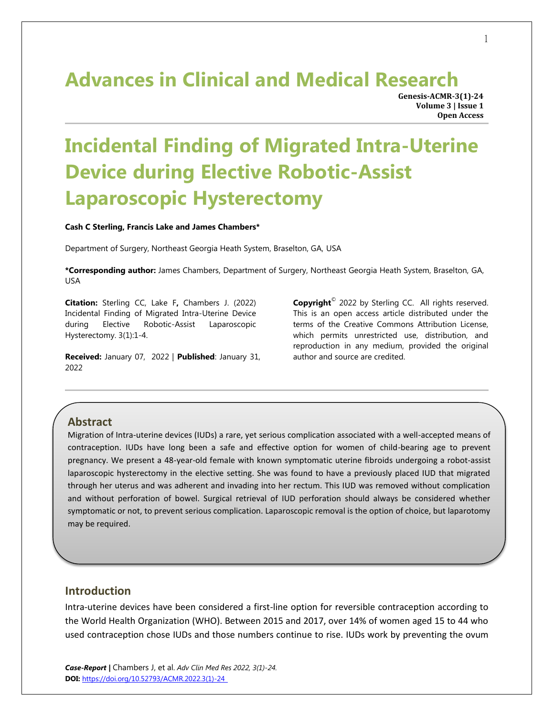## **Advances in Clinical and Medical Research**

**Genesis-ACMR-3(1)-24 Volume 3 | Issue 1 Open Access**

# **Incidental Finding of Migrated Intra-Uterine Device during Elective Robotic-Assist Laparoscopic Hysterectomy**

#### **Cash C Sterling, Francis Lake and James Chambers\***

Department of Surgery, Northeast Georgia Heath System, Braselton, GA, USA

**\*Corresponding author:** James Chambers, Department of Surgery, Northeast Georgia Heath System, Braselton, GA, USA

**Citation:** Sterling CC, Lake F**,** Chambers J. (2022) Incidental Finding of Migrated Intra-Uterine Device during Elective Robotic-Assist Laparoscopic Hysterectomy. 3(1):1-4.

**Received:** January 07, 2022 | **Published**: January 31, 2022

**Copyright**© 2022 by Sterling CC. All rights reserved. This is an open access article distributed under the terms of the Creative Commons Attribution License, which permits unrestricted use, distribution, and reproduction in any medium, provided the original author and source are credited.

#### **Abstract**

Migration of Intra-uterine devices (IUDs) a rare, yet serious complication associated with a well-accepted means of contraception. IUDs have long been a safe and effective option for women of child-bearing age to prevent pregnancy. We present a 48-year-old female with known symptomatic uterine fibroids undergoing a robot-assist laparoscopic hysterectomy in the elective setting. She was found to have a previously placed IUD that migrated through her uterus and was adherent and invading into her rectum. This IUD was removed without complication and without perforation of bowel. Surgical retrieval of IUD perforation should always be considered whether symptomatic or not, to prevent serious complication. Laparoscopic removal is the option of choice, but laparotomy may be required.

#### **Introduction**

Intra-uterine devices have been considered a first-line option for reversible contraception according to the World Health Organization (WHO). Between 2015 and 2017, over 14% of women aged 15 to 44 who used contraception chose IUDs and those numbers continue to rise. IUDs work by preventing the ovum

*Case-Report |* Chambers J, et al. *Adv Clin Med Res 2022, 3(1)-24.* **DOI:** https://doi.org/10.52793/ACMR.2022.3(1)-24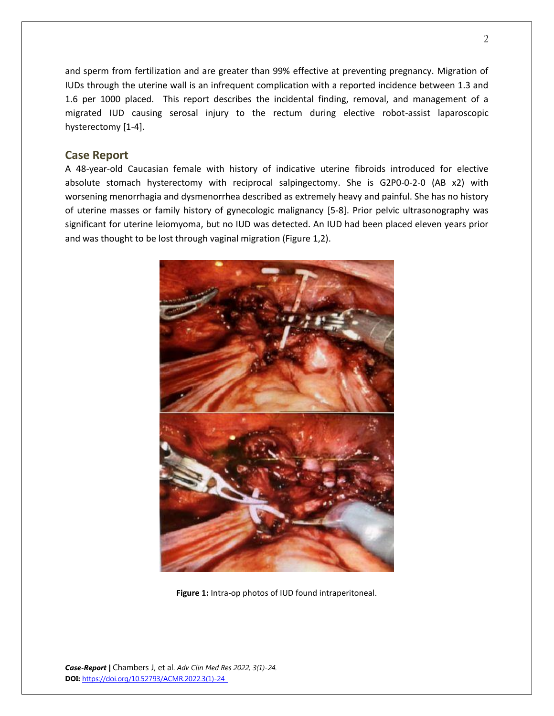and sperm from fertilization and are greater than 99% effective at preventing pregnancy. Migration of IUDs through the uterine wall is an infrequent complication with a reported incidence between 1.3 and 1.6 per 1000 placed. This report describes the incidental finding, removal, and management of a migrated IUD causing serosal injury to the rectum during elective robot-assist laparoscopic hysterectomy [1-4].

#### **Case Report**

A 48-year-old Caucasian female with history of indicative uterine fibroids introduced for elective absolute stomach hysterectomy with reciprocal salpingectomy. She is G2P0-0-2-0 (AB x2) with worsening menorrhagia and dysmenorrhea described as extremely heavy and painful. She has no history of uterine masses or family history of gynecologic malignancy [5-8]. Prior pelvic ultrasonography was significant for uterine leiomyoma, but no IUD was detected. An IUD had been placed eleven years prior and was thought to be lost through vaginal migration (Figure 1,2).



**Figure 1:** Intra-op photos of IUD found intraperitoneal.

*Case-Report |* Chambers J, et al. *Adv Clin Med Res 2022, 3(1)-24.* **DOI:** https://doi.org/10.52793/ACMR.2022.3(1)-24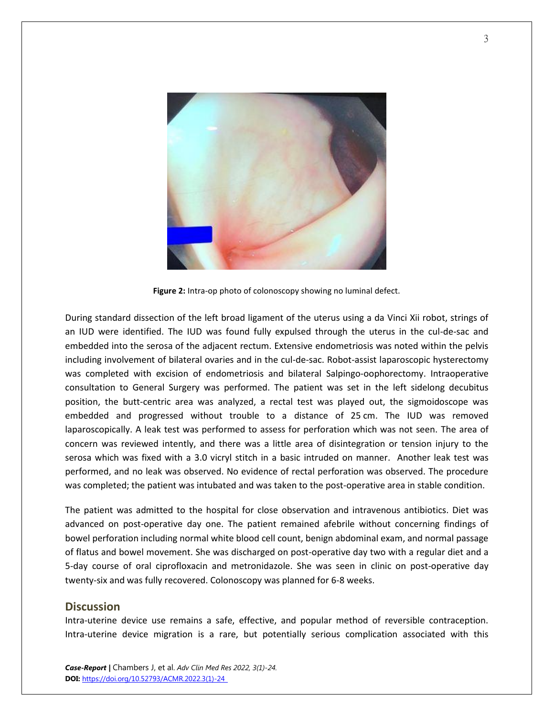

**Figure 2:** Intra-op photo of colonoscopy showing no luminal defect.

During standard dissection of the left broad ligament of the uterus using a da Vinci Xii robot, strings of an IUD were identified. The IUD was found fully expulsed through the uterus in the cul-de-sac and embedded into the serosa of the adjacent rectum. Extensive endometriosis was noted within the pelvis including involvement of bilateral ovaries and in the cul-de-sac. Robot-assist laparoscopic hysterectomy was completed with excision of endometriosis and bilateral Salpingo-oophorectomy. Intraoperative consultation to General Surgery was performed. The patient was set in the left sidelong decubitus position, the butt-centric area was analyzed, a rectal test was played out, the sigmoidoscope was embedded and progressed without trouble to a distance of 25 cm. The IUD was removed laparoscopically. A leak test was performed to assess for perforation which was not seen. The area of concern was reviewed intently, and there was a little area of disintegration or tension injury to the serosa which was fixed with a 3.0 vicryl stitch in a basic intruded on manner. Another leak test was performed, and no leak was observed. No evidence of rectal perforation was observed. The procedure was completed; the patient was intubated and was taken to the post-operative area in stable condition.

The patient was admitted to the hospital for close observation and intravenous antibiotics. Diet was advanced on post-operative day one. The patient remained afebrile without concerning findings of bowel perforation including normal white blood cell count, benign abdominal exam, and normal passage of flatus and bowel movement. She was discharged on post-operative day two with a regular diet and a 5-day course of oral ciprofloxacin and metronidazole. She was seen in clinic on post-operative day twenty-six and was fully recovered. Colonoscopy was planned for 6-8 weeks.

#### **Discussion**

Intra-uterine device use remains a safe, effective, and popular method of reversible contraception. Intra-uterine device migration is a rare, but potentially serious complication associated with this

*Case-Report |* Chambers J, et al. *Adv Clin Med Res 2022, 3(1)-24.* **DOI:** https://doi.org/10.52793/ACMR.2022.3(1)-24